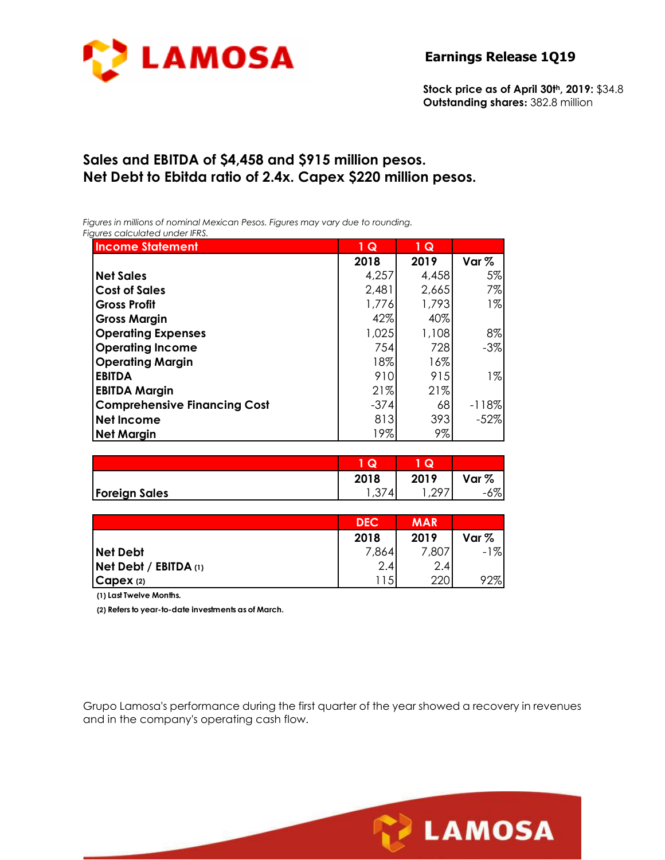

**Stock price as of April 30th, 2019:** \$34.8 **Outstanding shares:** 382.8 million

# **Sales and EBITDA of \$4,458 and \$915 million pesos. Net Debt to Ebitda ratio of 2.4x. Capex \$220 million pesos.**

*Figures in millions of nominal Mexican Pesos. Figures may vary due to rounding. Figures calculated under IFRS.* 

| quies calculatea uriael irrs.       |                 |       |         |
|-------------------------------------|-----------------|-------|---------|
| <b>Income Statement</b>             | $1\overline{Q}$ | 1 Q   |         |
|                                     | 2018            | 2019  | Var $%$ |
| <b>Net Sales</b>                    | 4,257           | 4,458 | 5%      |
| <b>Cost of Sales</b>                | 2,481           | 2,665 | 7%      |
| <b>Gross Profit</b>                 | 1,776           | 1,793 | $1\%$   |
| <b>Gross Margin</b>                 | 42%             | 40%   |         |
| <b>Operating Expenses</b>           | 1,025           | 1,108 | 8%      |
| <b>Operating Income</b>             | 754             | 728   | $-3%$   |
| <b>Operating Margin</b>             | 18%             | 16%   |         |
| <b>EBITDA</b>                       | 910             | 915   | $1\%$   |
| <b>EBITDA Margin</b>                | 21%             | 21%   |         |
| <b>Comprehensive Financing Cost</b> | $-374$          | 68    | $-118%$ |
| <b>Net Income</b>                   | 813             | 393   | $-52%$  |
| <b>Net Margin</b>                   | 19%             | 9%    |         |

|                      | u          | Q.            |                  |
|----------------------|------------|---------------|------------------|
|                      | 2018       | 2019          | Var %            |
| <b>Foreign Sales</b> | 4<br>، ب ۱ | ററ<br>، ، ، ، | $\sigma$<br>6% l |

|                           | <b>DEC</b> | <b>MAR</b> |                  |
|---------------------------|------------|------------|------------------|
|                           | 2018       | 2019       | Var <sub>%</sub> |
| <b>Net Debt</b>           | 7,864      | 7,807      | $-1%$            |
| $Net$ Debt / EBITDA $(1)$ | 2.4        | 2.4        |                  |
| CapeX (2)                 | 115        | 220        | 92%              |

**(1) Last Twelve Months.**

**(2) Refers to year-to-date investments as of March.**

Grupo Lamosa's performance during the first quarter of the year showed a recovery in revenues and in the company's operating cash flow.

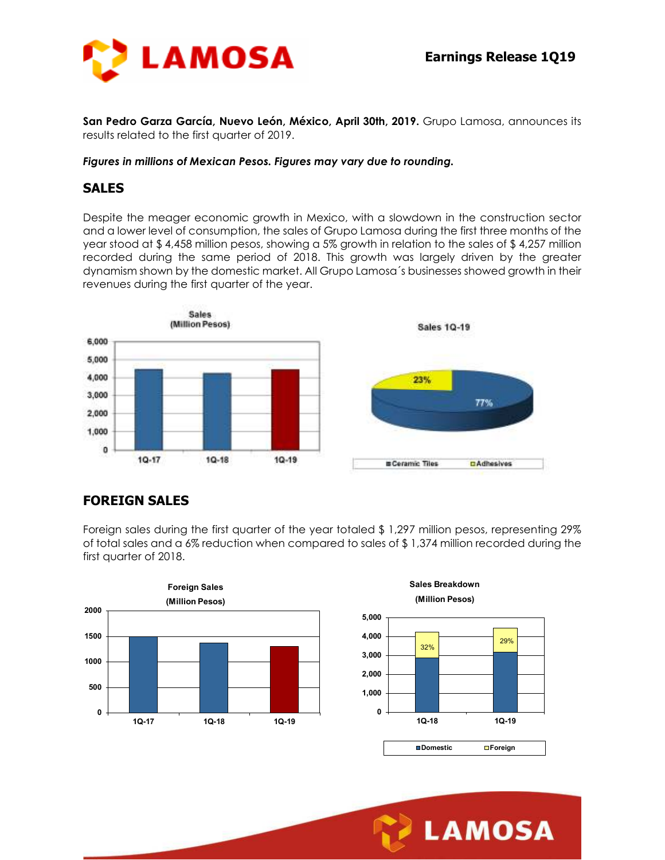

**San Pedro Garza García, Nuevo León, México, April 30th, 2019.** Grupo Lamosa, announces its results related to the first quarter of 2019.

#### *Figures in millions of Mexican Pesos. Figures may vary due to rounding.*

#### **SALES**

Despite the meager economic growth in Mexico, with a slowdown in the construction sector and a lower level of consumption, the sales of Grupo Lamosa during the first three months of the year stood at \$ 4,458 million pesos, showing a 5% growth in relation to the sales of \$ 4,257 million recorded during the same period of 2018. This growth was largely driven by the greater dynamism shown by the domestic market. All Grupo Lamosa´s businesses showed growth in their revenues during the first quarter of the year.



## **FOREIGN SALES**

Foreign sales during the first quarter of the year totaled \$ 1,297 million pesos, representing 29% of total sales and a 6% reduction when compared to sales of \$ 1,374 million recorded during the first quarter of 2018.





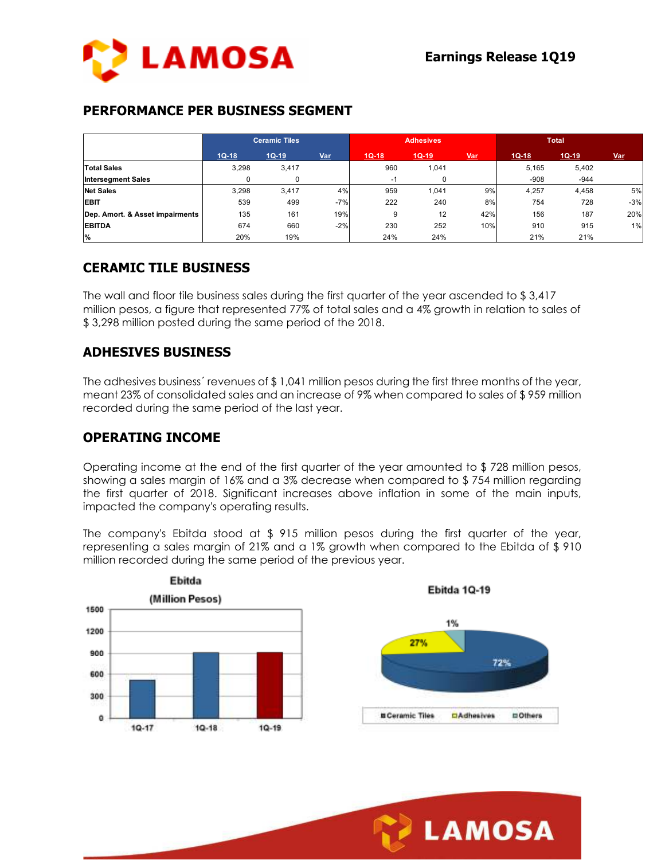

#### **PERFORMANCE PER BUSINESS SEGMENT**

|                                 | <b>Ceramic Tiles</b> |             | <b>Adhesives</b> |         | <b>Total</b> |            |         |         |            |
|---------------------------------|----------------------|-------------|------------------|---------|--------------|------------|---------|---------|------------|
|                                 | $1Q-18$              | $1Q-19$     | Var              | $1Q-18$ | $1Q-19$      | <b>Var</b> | $1Q-18$ | $1Q-19$ | <u>Var</u> |
| <b>Total Sales</b>              | 3,298                | 3,417       |                  | 960     | 1,041        |            | 5,165   | 5,402   |            |
| <b>Intersegment Sales</b>       | 0                    | $\mathbf 0$ |                  | $-1$    | 0            |            | $-908$  | $-944$  |            |
| <b>Net Sales</b>                | 3,298                | 3,417       | 4%               | 959     | 1,041        | 9%         | 4,257   | 4,458   | 5%         |
| <b>EBIT</b>                     | 539                  | 499         | $-7%$            | 222     | 240          | 8%         | 754     | 728     | $-3%$      |
| Dep. Amort. & Asset impairments | 135                  | 161         | 19%              | 9       | 12           | 42%        | 156     | 187     | 20%        |
| <b>EBITDA</b>                   | 674                  | 660         | $-2%$            | 230     | 252          | 10%        | 910     | 915     | 1%         |
| %                               | 20%                  | 19%         |                  | 24%     | 24%          |            | 21%     | 21%     |            |

## **CERAMIC TILE BUSINESS**

The wall and floor tile business sales during the first quarter of the year ascended to \$ 3,417 million pesos, a figure that represented 77% of total sales and a 4% growth in relation to sales of \$ 3,298 million posted during the same period of the 2018.

## **ADHESIVES BUSINESS**

The adhesives business' revenues of \$1,041 million pesos during the first three months of the year, meant 23% of consolidated sales and an increase of 9% when compared to sales of \$ 959 million recorded during the same period of the last year.

#### **OPERATING INCOME**

Operating income at the end of the first quarter of the year amounted to \$ 728 million pesos, showing a sales margin of 16% and a 3% decrease when compared to \$ 754 million regarding the first quarter of 2018. Significant increases above inflation in some of the main inputs, impacted the company's operating results.

The company's Ebitda stood at  $$ 915$  million pesos during the first quarter of the year, representing a sales margin of 21% and a 1% growth when compared to the Ebitda of \$ 910 million recorded during the same period of the previous year.



Ebitda 1Q-19



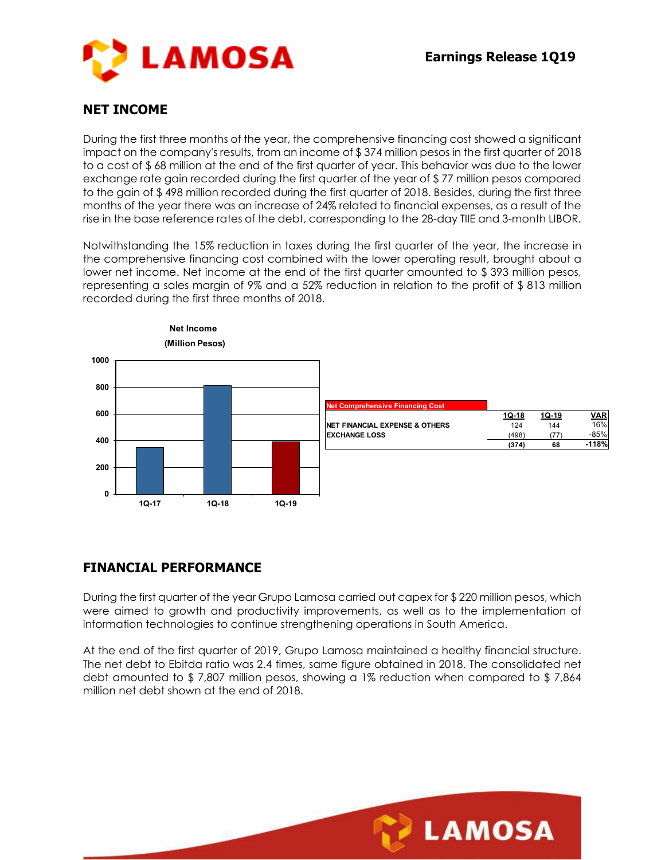

## **NET INCOME**

During the first three months of the year, the comprehensive financing cost showed a significant impact on the company's results, from an income of \$ 374 million pesos in the first quarter of 2018 to a cost of \$ 68 million at the end of the first quarter of year. This behavior was due to the lower exchange rate gain recorded during the first quarter of the year of \$ 77 million pesos compared to the gain of \$ 498 million recorded during the first quarter of 2018. Besides, during the first three months of the year there was an increase of 24% related to financial expenses, as a result of the rise in the base reference rates of the debt, corresponding to the 28-day TIIE and 3-month LIBOR.

Notwithstanding the 15% reduction in taxes during the first quarter of the year, the increase in the comprehensive financing cost combined with the lower operating result, brought about a lower net income. Net income at the end of the first quarter amounted to \$ 393 million pesos, representing a sales margin of 9% and a 52% reduction in relation to the profit of \$ 813 million recorded during the first three months of 2018.



## **FINANCIAL PERFORMANCE**

During the first quarter of the year Grupo Lamosa carried out capex for \$ 220 million pesos, which were aimed to growth and productivity improvements, as well as to the implementation of information technologies to continue strengthening operations in South America.

At the end of the first quarter of 2019, Grupo Lamosa maintained a healthy financial structure. The net debt to Ebitda ratio was 2.4 times, same figure obtained in 2018. The consolidated net debt amounted to \$ 7,807 million pesos, showing a 1% reduction when compared to \$ 7,864 million net debt shown at the end of 2018.